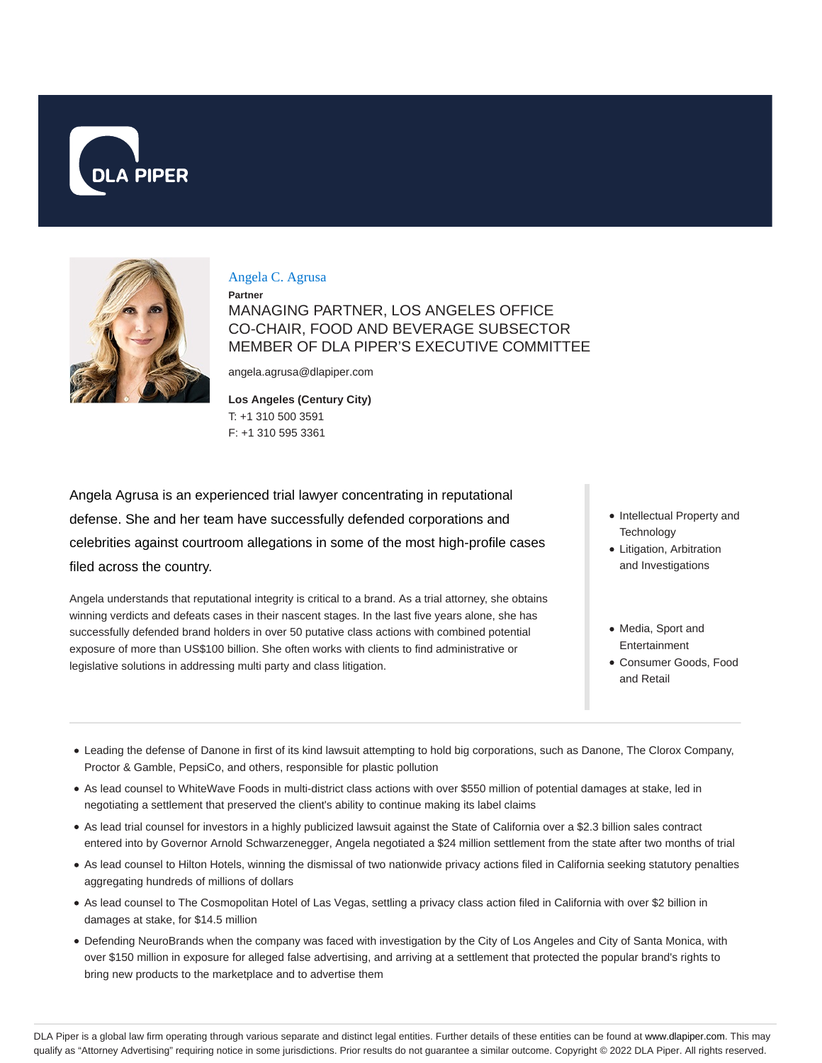



### Angela C. Agrusa

**Partner** MANAGING PARTNER, LOS ANGELES OFFICE CO-CHAIR, FOOD AND BEVERAGE SUBSECTOR MEMBER OF DLA PIPER'S EXECUTIVE COMMITTEE

angela.agrusa@dlapiper.com

## **Los Angeles (Century City)** T: +1 310 500 3591

F: +1 310 595 3361

Angela Agrusa is an experienced trial lawyer concentrating in reputational defense. She and her team have successfully defended corporations and celebrities against courtroom allegations in some of the most high-profile cases filed across the country.

Angela understands that reputational integrity is critical to a brand. As a trial attorney, she obtains winning verdicts and defeats cases in their nascent stages. In the last five years alone, she has successfully defended brand holders in over 50 putative class actions with combined potential exposure of more than US\$100 billion. She often works with clients to find administrative or legislative solutions in addressing multi party and class litigation.

- Intellectual Property and **Technology**
- Litigation, Arbitration and Investigations
- Media, Sport and Entertainment
- Consumer Goods, Food and Retail
- Leading the defense of Danone in first of its kind lawsuit attempting to hold big corporations, such as Danone, The Clorox Company, Proctor & Gamble, PepsiCo, and others, responsible for plastic pollution
- As lead counsel to WhiteWave Foods in multi-district class actions with over \$550 million of potential damages at stake, led in negotiating a settlement that preserved the client's ability to continue making its label claims
- As lead trial counsel for investors in a highly publicized lawsuit against the State of California over a \$2.3 billion sales contract entered into by Governor Arnold Schwarzenegger, Angela negotiated a \$24 million settlement from the state after two months of trial
- As lead counsel to Hilton Hotels, winning the dismissal of two nationwide privacy actions filed in California seeking statutory penalties aggregating hundreds of millions of dollars
- As lead counsel to The Cosmopolitan Hotel of Las Vegas, settling a privacy class action filed in California with over \$2 billion in damages at stake, for \$14.5 million
- Defending NeuroBrands when the company was faced with investigation by the City of Los Angeles and City of Santa Monica, with over \$150 million in exposure for alleged false advertising, and arriving at a settlement that protected the popular brand's rights to bring new products to the marketplace and to advertise them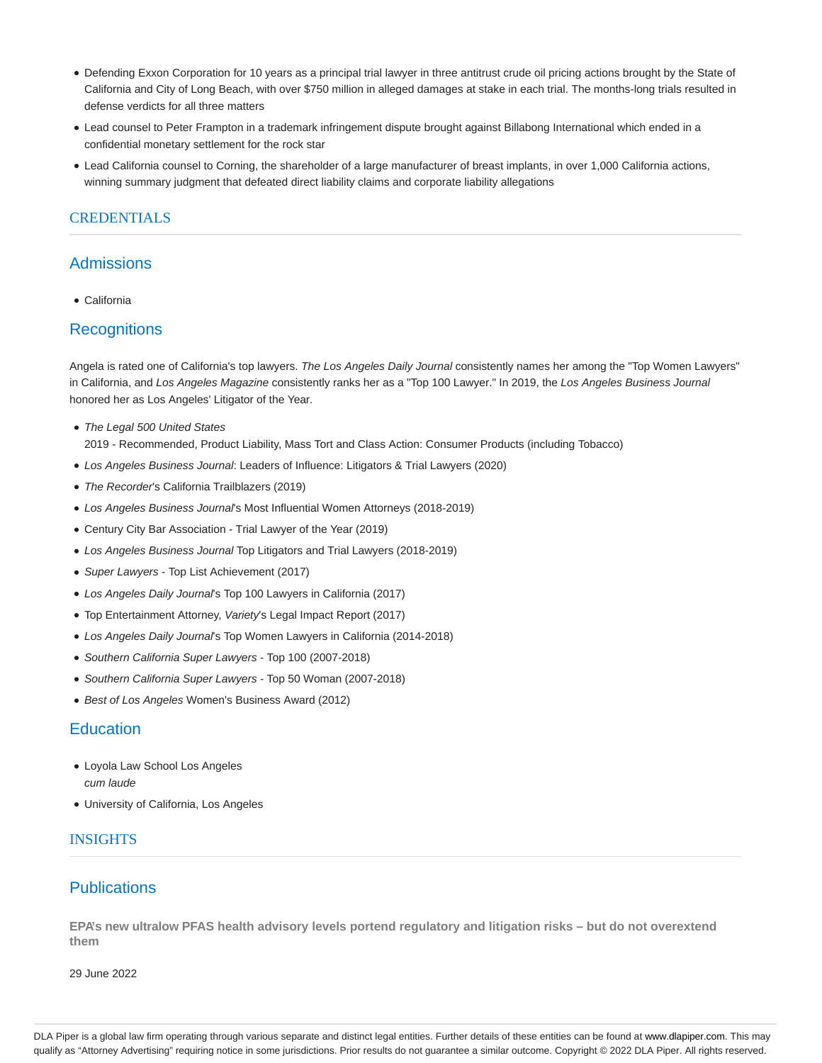- Defending Exxon Corporation for 10 years as a principal trial lawyer in three antitrust crude oil pricing actions brought by the State of California and City of Long Beach, with over \$750 million in alleged damages at stake in each trial. The months-long trials resulted in defense verdicts for all three matters
- Lead counsel to Peter Frampton in a trademark infringement dispute brought against Billabong International which ended in a confidential monetary settlement for the rock star
- Lead California counsel to Corning, the shareholder of a large manufacturer of breast implants, in over 1,000 California actions, winning summary judgment that defeated direct liability claims and corporate liability allegations

## CREDENTIALS

## Admissions

California

## **Recognitions**

Angela is rated one of California's top lawyers. The Los Angeles Daily Journal consistently names her among the "Top Women Lawyers" in California, and Los Angeles Magazine consistently ranks her as a "Top 100 Lawyer." In 2019, the Los Angeles Business Journal honored her as Los Angeles' Litigator of the Year.

• The Legal 500 United States

2019 - Recommended, Product Liability, Mass Tort and Class Action: Consumer Products (including Tobacco)

- Los Angeles Business Journal: Leaders of Influence: Litigators & Trial Lawyers (2020)
- The Recorder's California Trailblazers (2019)
- Los Angeles Business Journal's Most Influential Women Attorneys (2018-2019)
- Century City Bar Association Trial Lawyer of the Year (2019)
- Los Angeles Business Journal Top Litigators and Trial Lawyers (2018-2019)
- Super Lawyers Top List Achievement (2017)
- Los Angeles Daily Journal's Top 100 Lawyers in California (2017)
- Top Entertainment Attorney, Variety's Legal Impact Report (2017)
- Los Angeles Daily Journal's Top Women Lawyers in California (2014-2018)
- Southern California Super Lawyers Top 100 (2007-2018)
- Southern California Super Lawyers Top 50 Woman (2007-2018)
- Best of Los Angeles Women's Business Award (2012)

## **Education**

- Loyola Law School Los Angeles cum laude
- University of California, Los Angeles

### INSIGHTS

## **Publications**

**EPA's new ultralow PFAS health advisory levels portend regulatory and litigation risks – but do not overextend them**

29 June 2022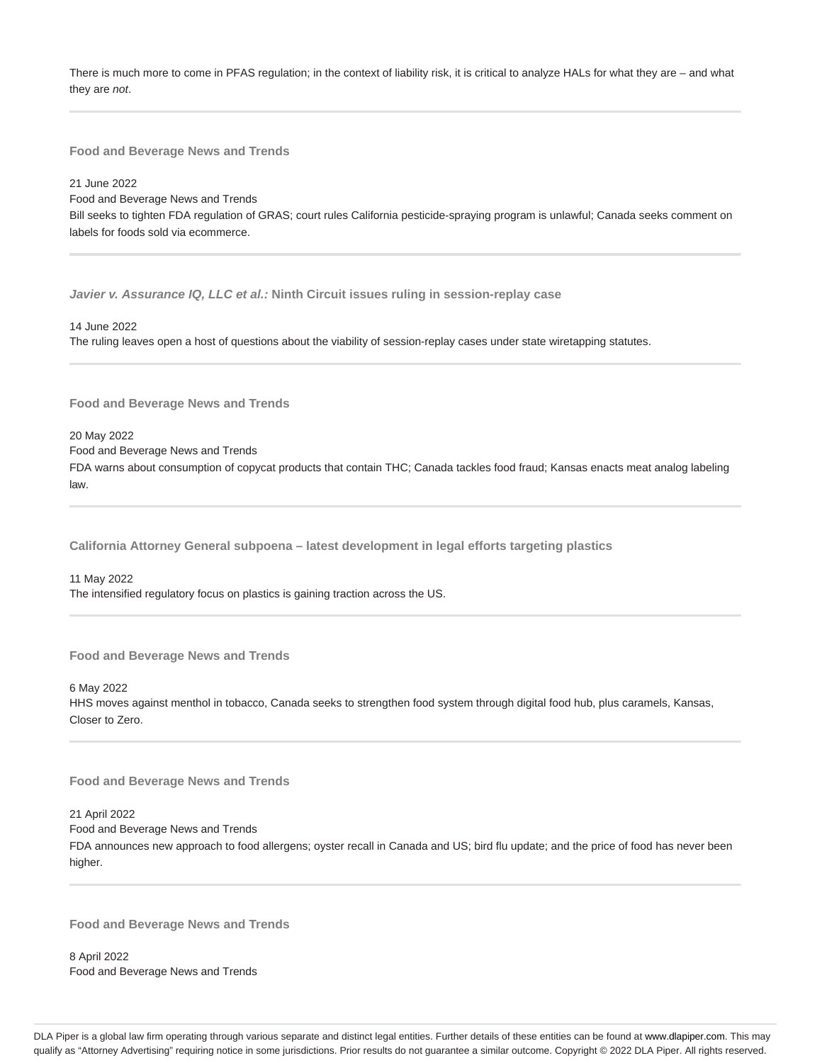There is much more to come in PFAS regulation; in the context of liability risk, it is critical to analyze HALs for what they are – and what they are not.

**Food and Beverage News and Trends**

21 June 2022

Food and Beverage News and Trends Bill seeks to tighten FDA regulation of GRAS; court rules California pesticide-spraying program is unlawful; Canada seeks comment on labels for foods sold via ecommerce.

**Javier v. Assurance IQ, LLC et al.: Ninth Circuit issues ruling in session-replay case**

14 June 2022 The ruling leaves open a host of questions about the viability of session-replay cases under state wiretapping statutes.

**Food and Beverage News and Trends**

20 May 2022

Food and Beverage News and Trends

FDA warns about consumption of copycat products that contain THC; Canada tackles food fraud; Kansas enacts meat analog labeling law.

**California Attorney General subpoena – latest development in legal efforts targeting plastics**

11 May 2022 The intensified regulatory focus on plastics is gaining traction across the US.

**Food and Beverage News and Trends**

6 May 2022 HHS moves against menthol in tobacco, Canada seeks to strengthen food system through digital food hub, plus caramels, Kansas, Closer to Zero.

**Food and Beverage News and Trends**

21 April 2022 Food and Beverage News and Trends

FDA announces new approach to food allergens; oyster recall in Canada and US; bird flu update; and the price of food has never been higher.

**Food and Beverage News and Trends**

8 April 2022 Food and Beverage News and Trends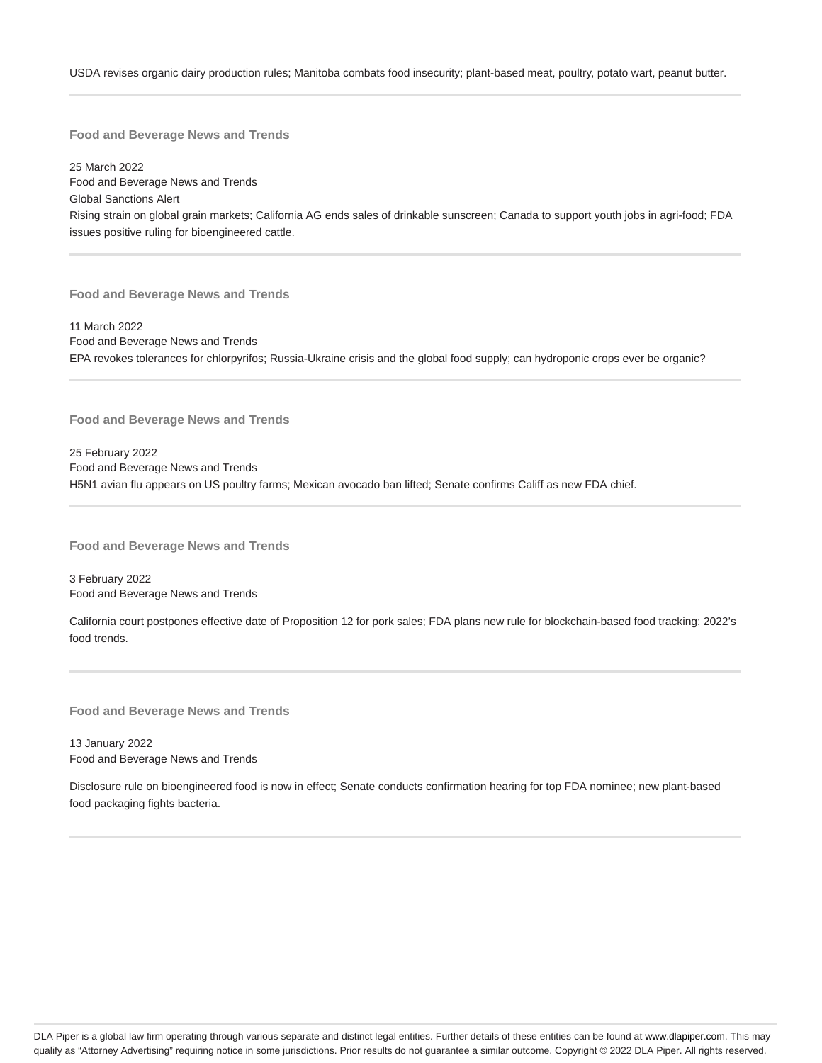USDA revises organic dairy production rules; Manitoba combats food insecurity; plant-based meat, poultry, potato wart, peanut butter.

**Food and Beverage News and Trends**

25 March 2022 Food and Beverage News and Trends Global Sanctions Alert Rising strain on global grain markets; California AG ends sales of drinkable sunscreen; Canada to support youth jobs in agri-food; FDA issues positive ruling for bioengineered cattle.

**Food and Beverage News and Trends**

11 March 2022 Food and Beverage News and Trends EPA revokes tolerances for chlorpyrifos; Russia-Ukraine crisis and the global food supply; can hydroponic crops ever be organic?

**Food and Beverage News and Trends**

25 February 2022 Food and Beverage News and Trends H5N1 avian flu appears on US poultry farms; Mexican avocado ban lifted; Senate confirms Califf as new FDA chief.

**Food and Beverage News and Trends**

3 February 2022 Food and Beverage News and Trends

California court postpones effective date of Proposition 12 for pork sales; FDA plans new rule for blockchain-based food tracking; 2022's food trends.

**Food and Beverage News and Trends**

13 January 2022 Food and Beverage News and Trends

Disclosure rule on bioengineered food is now in effect; Senate conducts confirmation hearing for top FDA nominee; new plant-based food packaging fights bacteria.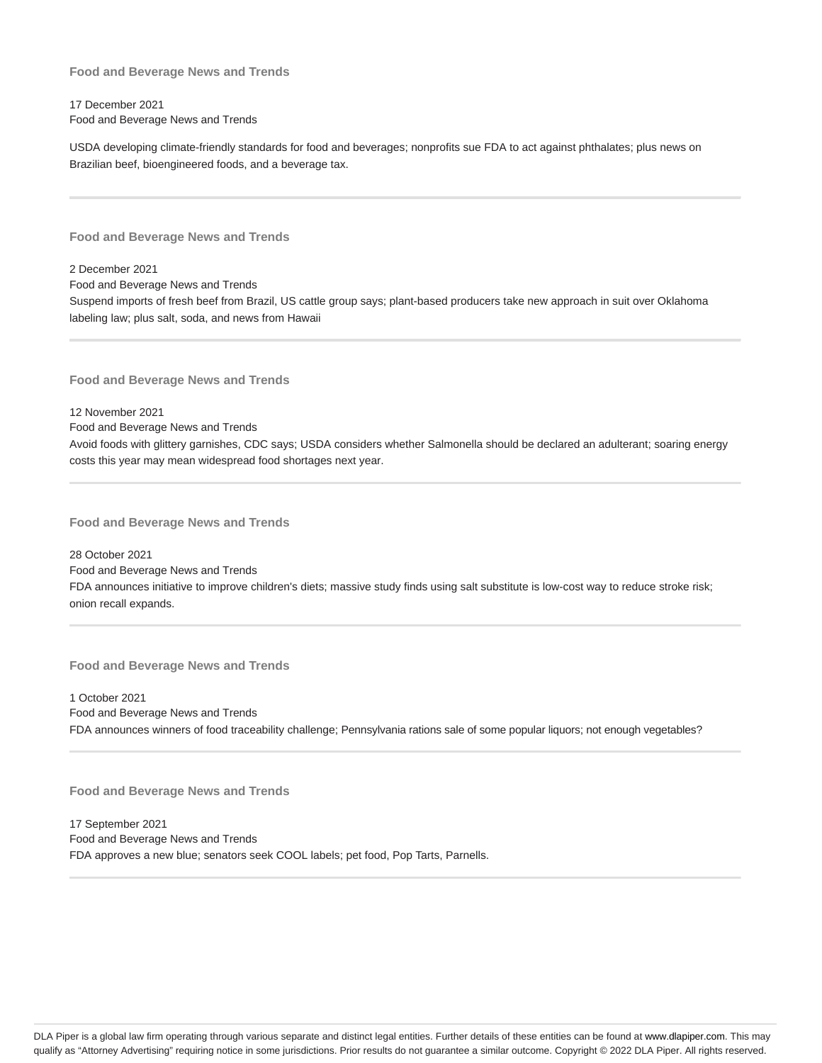17 December 2021 Food and Beverage News and Trends

USDA developing climate-friendly standards for food and beverages; nonprofits sue FDA to act against phthalates; plus news on Brazilian beef, bioengineered foods, and a beverage tax.

**Food and Beverage News and Trends**

2 December 2021 Food and Beverage News and Trends Suspend imports of fresh beef from Brazil, US cattle group says; plant-based producers take new approach in suit over Oklahoma labeling law; plus salt, soda, and news from Hawaii

**Food and Beverage News and Trends**

12 November 2021 Food and Beverage News and Trends Avoid foods with glittery garnishes, CDC says; USDA considers whether Salmonella should be declared an adulterant; soaring energy costs this year may mean widespread food shortages next year.

**Food and Beverage News and Trends**

28 October 2021 Food and Beverage News and Trends FDA announces initiative to improve children's diets; massive study finds using salt substitute is low-cost way to reduce stroke risk; onion recall expands.

**Food and Beverage News and Trends**

1 October 2021 Food and Beverage News and Trends FDA announces winners of food traceability challenge; Pennsylvania rations sale of some popular liquors; not enough vegetables?

**Food and Beverage News and Trends**

17 September 2021 Food and Beverage News and Trends FDA approves a new blue; senators seek COOL labels; pet food, Pop Tarts, Parnells.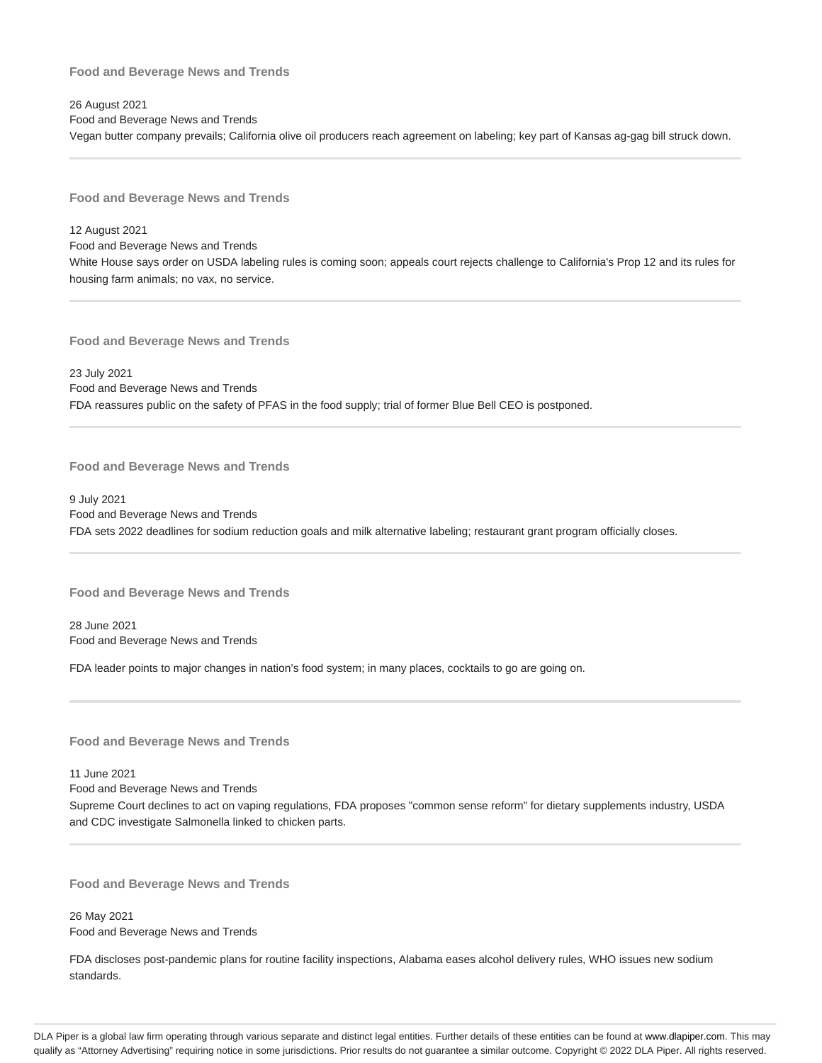26 August 2021 Food and Beverage News and Trends Vegan butter company prevails; California olive oil producers reach agreement on labeling; key part of Kansas ag-gag bill struck down.

**Food and Beverage News and Trends**

12 August 2021 Food and Beverage News and Trends White House says order on USDA labeling rules is coming soon; appeals court rejects challenge to California's Prop 12 and its rules for housing farm animals; no vax, no service.

**Food and Beverage News and Trends**

23 July 2021 Food and Beverage News and Trends FDA reassures public on the safety of PFAS in the food supply; trial of former Blue Bell CEO is postponed.

**Food and Beverage News and Trends**

9 July 2021 Food and Beverage News and Trends FDA sets 2022 deadlines for sodium reduction goals and milk alternative labeling; restaurant grant program officially closes.

**Food and Beverage News and Trends**

28 June 2021 Food and Beverage News and Trends

FDA leader points to major changes in nation's food system; in many places, cocktails to go are going on.

**Food and Beverage News and Trends**

11 June 2021

Food and Beverage News and Trends Supreme Court declines to act on vaping regulations, FDA proposes "common sense reform" for dietary supplements industry, USDA and CDC investigate Salmonella linked to chicken parts.

**Food and Beverage News and Trends**

26 May 2021 Food and Beverage News and Trends

FDA discloses post-pandemic plans for routine facility inspections, Alabama eases alcohol delivery rules, WHO issues new sodium standards.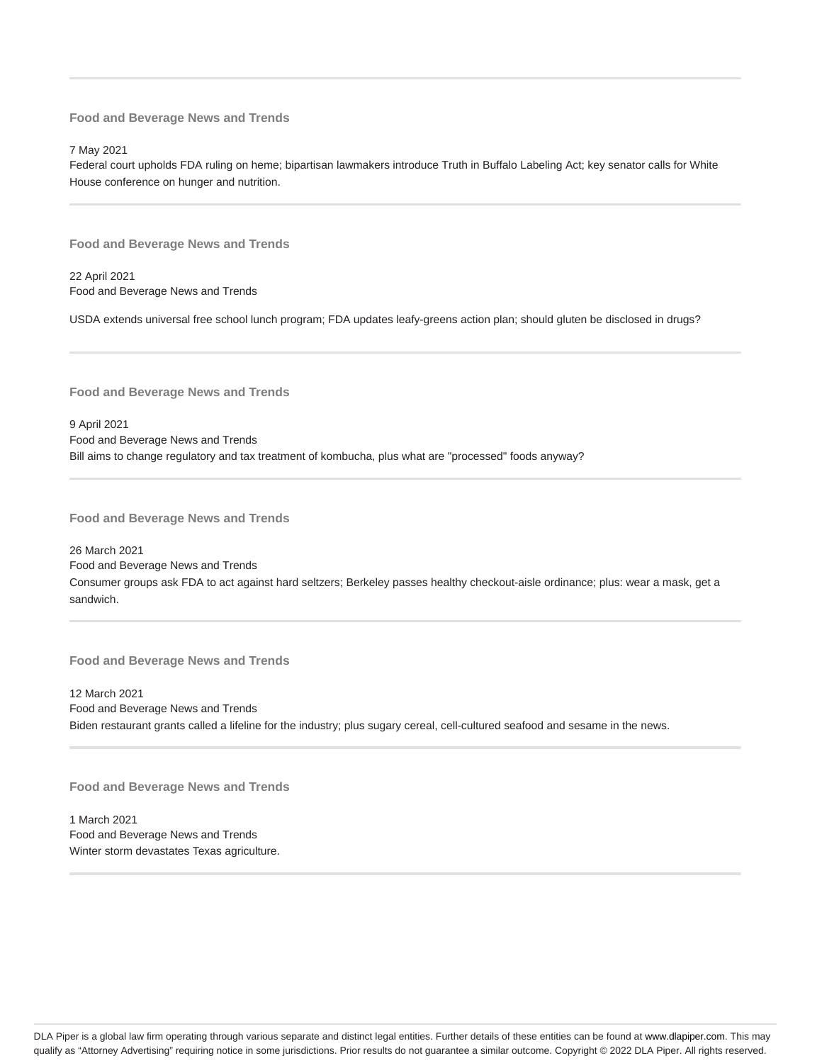7 May 2021

Federal court upholds FDA ruling on heme; bipartisan lawmakers introduce Truth in Buffalo Labeling Act; key senator calls for White House conference on hunger and nutrition.

**Food and Beverage News and Trends**

22 April 2021 Food and Beverage News and Trends

USDA extends universal free school lunch program; FDA updates leafy-greens action plan; should gluten be disclosed in drugs?

**Food and Beverage News and Trends**

9 April 2021 Food and Beverage News and Trends Bill aims to change regulatory and tax treatment of kombucha, plus what are "processed" foods anyway?

**Food and Beverage News and Trends**

26 March 2021 Food and Beverage News and Trends Consumer groups ask FDA to act against hard seltzers; Berkeley passes healthy checkout-aisle ordinance; plus: wear a mask, get a sandwich.

**Food and Beverage News and Trends**

12 March 2021 Food and Beverage News and Trends Biden restaurant grants called a lifeline for the industry; plus sugary cereal, cell-cultured seafood and sesame in the news.

**Food and Beverage News and Trends**

1 March 2021 Food and Beverage News and Trends Winter storm devastates Texas agriculture.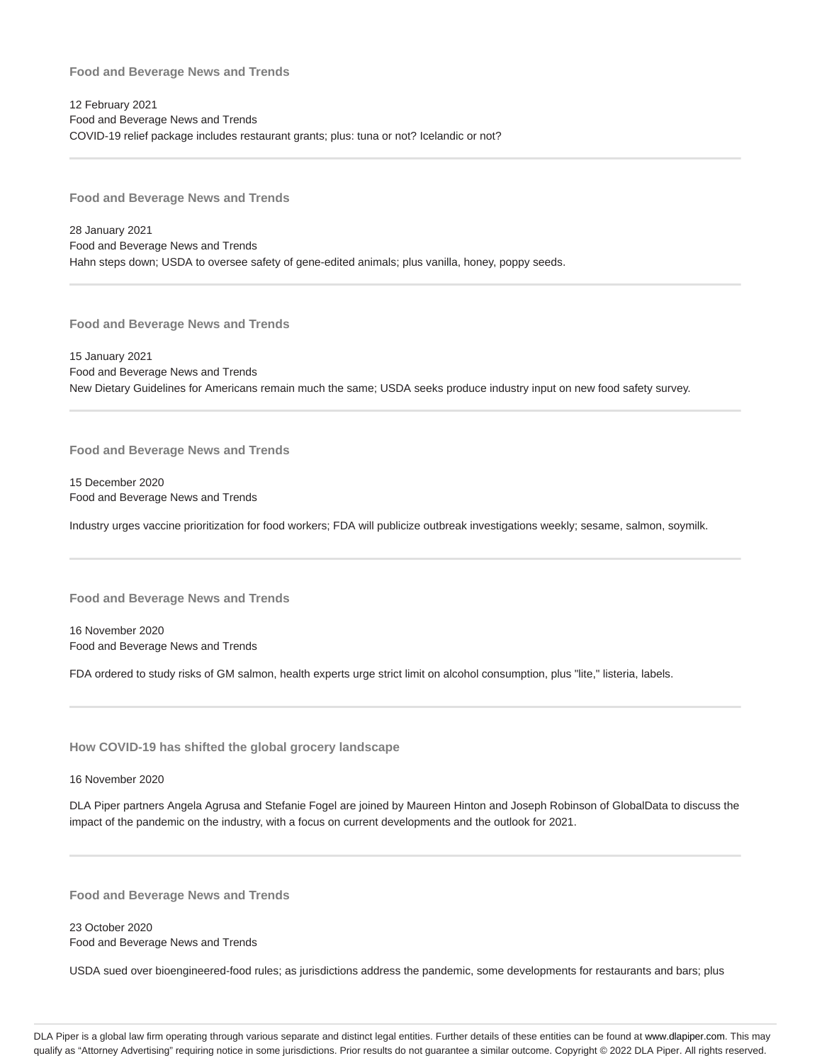12 February 2021 Food and Beverage News and Trends COVID-19 relief package includes restaurant grants; plus: tuna or not? Icelandic or not?

**Food and Beverage News and Trends**

28 January 2021 Food and Beverage News and Trends Hahn steps down; USDA to oversee safety of gene-edited animals; plus vanilla, honey, poppy seeds.

**Food and Beverage News and Trends**

15 January 2021 Food and Beverage News and Trends New Dietary Guidelines for Americans remain much the same; USDA seeks produce industry input on new food safety survey.

**Food and Beverage News and Trends**

15 December 2020 Food and Beverage News and Trends

Industry urges vaccine prioritization for food workers; FDA will publicize outbreak investigations weekly; sesame, salmon, soymilk.

**Food and Beverage News and Trends**

16 November 2020 Food and Beverage News and Trends

FDA ordered to study risks of GM salmon, health experts urge strict limit on alcohol consumption, plus "lite," listeria, labels.

**How COVID-19 has shifted the global grocery landscape**

16 November 2020

DLA Piper partners Angela Agrusa and Stefanie Fogel are joined by Maureen Hinton and Joseph Robinson of GlobalData to discuss the impact of the pandemic on the industry, with a focus on current developments and the outlook for 2021.

**Food and Beverage News and Trends**

23 October 2020 Food and Beverage News and Trends

USDA sued over bioengineered-food rules; as jurisdictions address the pandemic, some developments for restaurants and bars; plus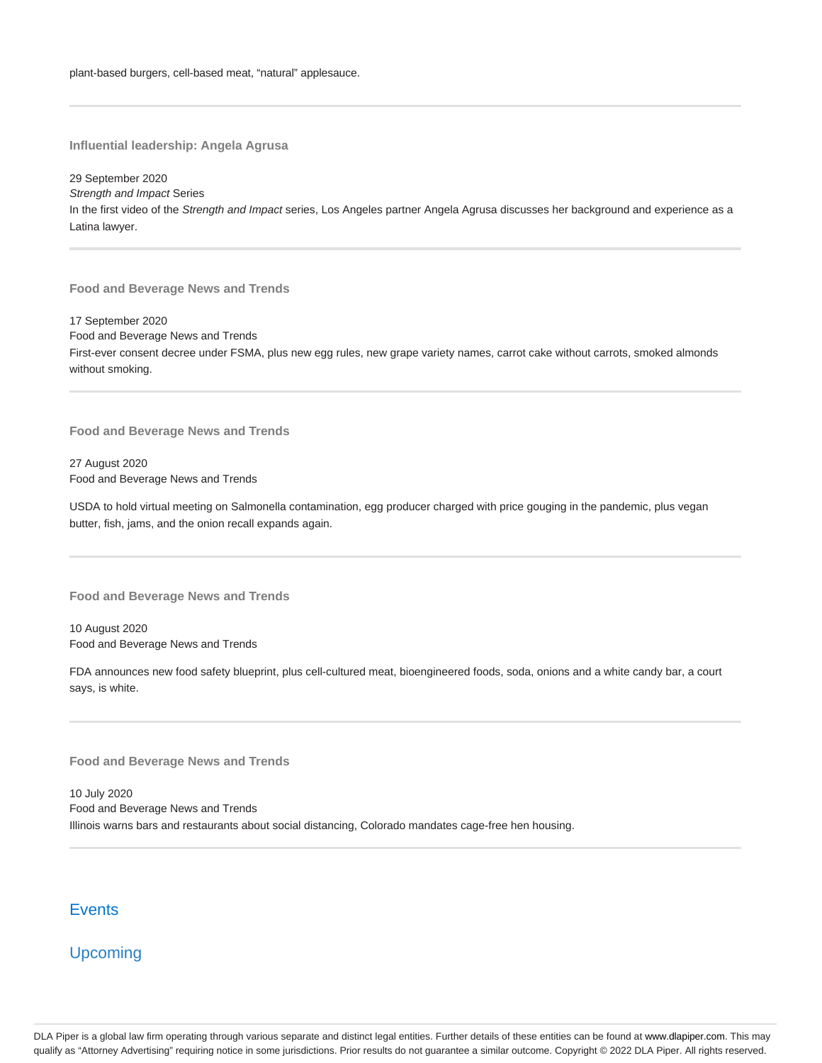**Influential leadership: Angela Agrusa**

29 September 2020 Strength and Impact Series In the first video of the Strength and Impact series, Los Angeles partner Angela Agrusa discusses her background and experience as a Latina lawyer.

**Food and Beverage News and Trends**

17 September 2020 Food and Beverage News and Trends First-ever consent decree under FSMA, plus new egg rules, new grape variety names, carrot cake without carrots, smoked almonds without smoking.

**Food and Beverage News and Trends**

27 August 2020 Food and Beverage News and Trends

USDA to hold virtual meeting on Salmonella contamination, egg producer charged with price gouging in the pandemic, plus vegan butter, fish, jams, and the onion recall expands again.

**Food and Beverage News and Trends**

10 August 2020 Food and Beverage News and Trends

FDA announces new food safety blueprint, plus cell-cultured meat, bioengineered foods, soda, onions and a white candy bar, a court says, is white.

**Food and Beverage News and Trends**

10 July 2020 Food and Beverage News and Trends Illinois warns bars and restaurants about social distancing, Colorado mandates cage-free hen housing.

# **Events**

Upcoming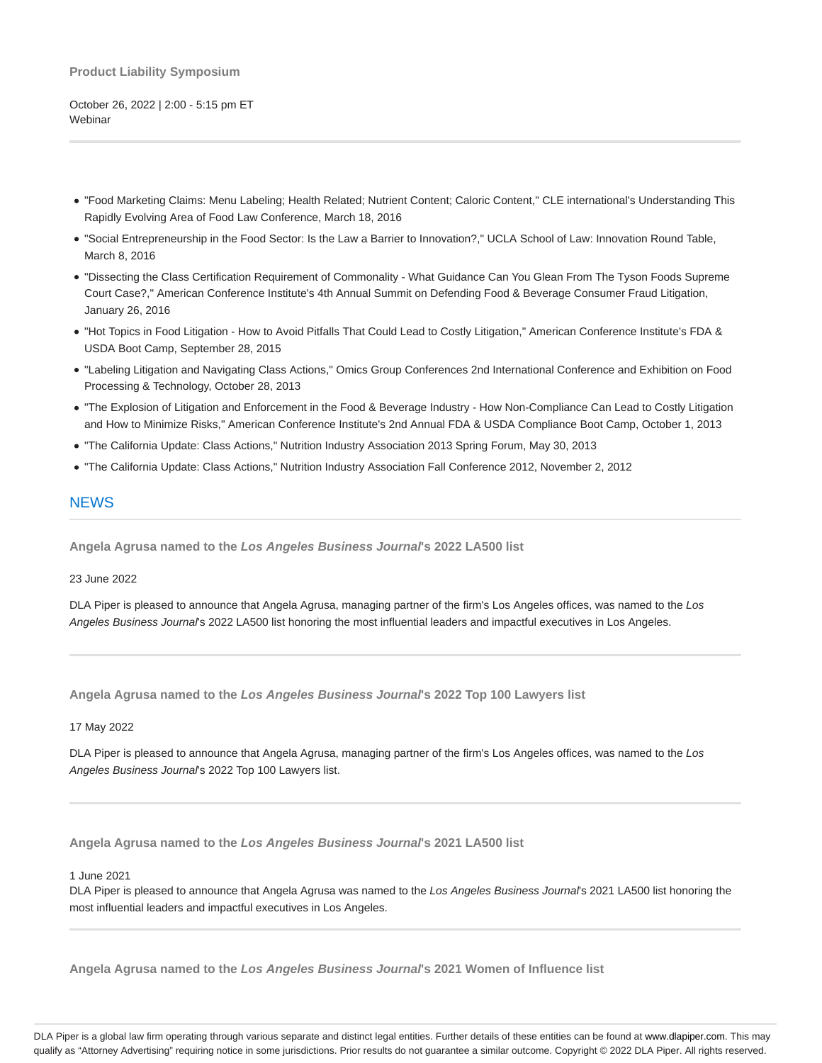#### **Product Liability Symposium**

October 26, 2022 | 2:00 - 5:15 pm ET **Webinar** 

- "Food Marketing Claims: Menu Labeling; Health Related; Nutrient Content; Caloric Content," CLE international's Understanding This Rapidly Evolving Area of Food Law Conference, March 18, 2016
- "Social Entrepreneurship in the Food Sector: Is the Law a Barrier to Innovation?," UCLA School of Law: Innovation Round Table, March 8, 2016
- "Dissecting the Class Certification Requirement of Commonality What Guidance Can You Glean From The Tyson Foods Supreme Court Case?," American Conference Institute's 4th Annual Summit on Defending Food & Beverage Consumer Fraud Litigation, January 26, 2016
- "Hot Topics in Food Litigation How to Avoid Pitfalls That Could Lead to Costly Litigation," American Conference Institute's FDA & USDA Boot Camp, September 28, 2015
- "Labeling Litigation and Navigating Class Actions," Omics Group Conferences 2nd International Conference and Exhibition on Food Processing & Technology, October 28, 2013
- "The Explosion of Litigation and Enforcement in the Food & Beverage Industry How Non-Compliance Can Lead to Costly Litigation and How to Minimize Risks," American Conference Institute's 2nd Annual FDA & USDA Compliance Boot Camp, October 1, 2013
- "The California Update: Class Actions," Nutrition Industry Association 2013 Spring Forum, May 30, 2013
- "The California Update: Class Actions," Nutrition Industry Association Fall Conference 2012, November 2, 2012

### **NEWS**

**Angela Agrusa named to the Los Angeles Business Journal's 2022 LA500 list**

23 June 2022

DLA Piper is pleased to announce that Angela Agrusa, managing partner of the firm's Los Angeles offices, was named to the Los Angeles Business Journal's 2022 LA500 list honoring the most influential leaders and impactful executives in Los Angeles.

**Angela Agrusa named to the Los Angeles Business Journal's 2022 Top 100 Lawyers list**

#### 17 May 2022

DLA Piper is pleased to announce that Angela Agrusa, managing partner of the firm's Los Angeles offices, was named to the Los Angeles Business Journal's 2022 Top 100 Lawyers list.

**Angela Agrusa named to the Los Angeles Business Journal's 2021 LA500 list**

1 June 2021

DLA Piper is pleased to announce that Angela Agrusa was named to the Los Angeles Business Journal's 2021 LA500 list honoring the most influential leaders and impactful executives in Los Angeles.

**Angela Agrusa named to the Los Angeles Business Journal's 2021 Women of Influence list**